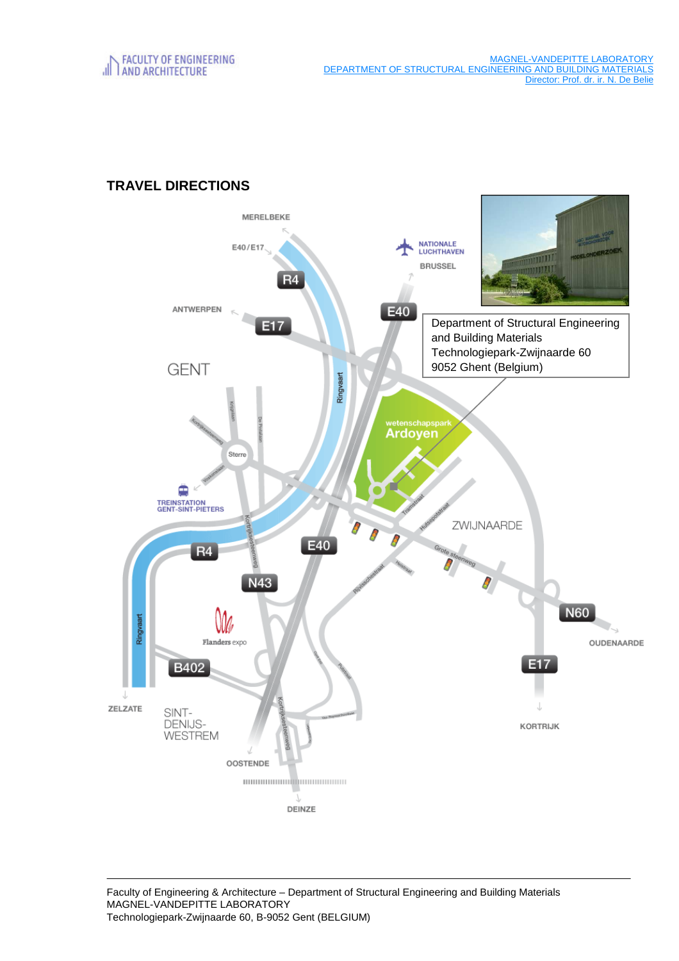MAGNEL-VANDEPITTE LABORATORY DEPARTMENT OF STRUCTURAL ENGINEERING AND BUILDING MATERIALS Director: Prof. dr. ir. N. De Belie

# MERELBEKE **NATIONALE**<br>LUCHTHAVEN E40/E17 **TITILLE BRUSSEL** muun R4 ANTWERPEN E40 Department of Structural Engineering E17 and Building Materials Technologiepark-Zwijnaarde 60 9052 Ghent (Belgium) **GENT** Ringvaart Ardoyen Stern € **TREINSTATION<br>GENT-SINT-PIETERS** ZWIJNAARDE E40  $R<sub>4</sub>$ N43 **N60** Flanders expo OUDENAARDE E<sub>17</sub> B402 ZELZATE SINT-**DENIJS-**KORTRIJK **WESTREM OOSTENDE** DEINZE

# **TRAVEL DIRECTIONS**

Faculty of Engineering & Architecture – Department of Structural Engineering and Building Materials MAGNEL-VANDEPITTE LABORATORY Technologiepark-Zwijnaarde 60, B-9052 Gent (BELGIUM)